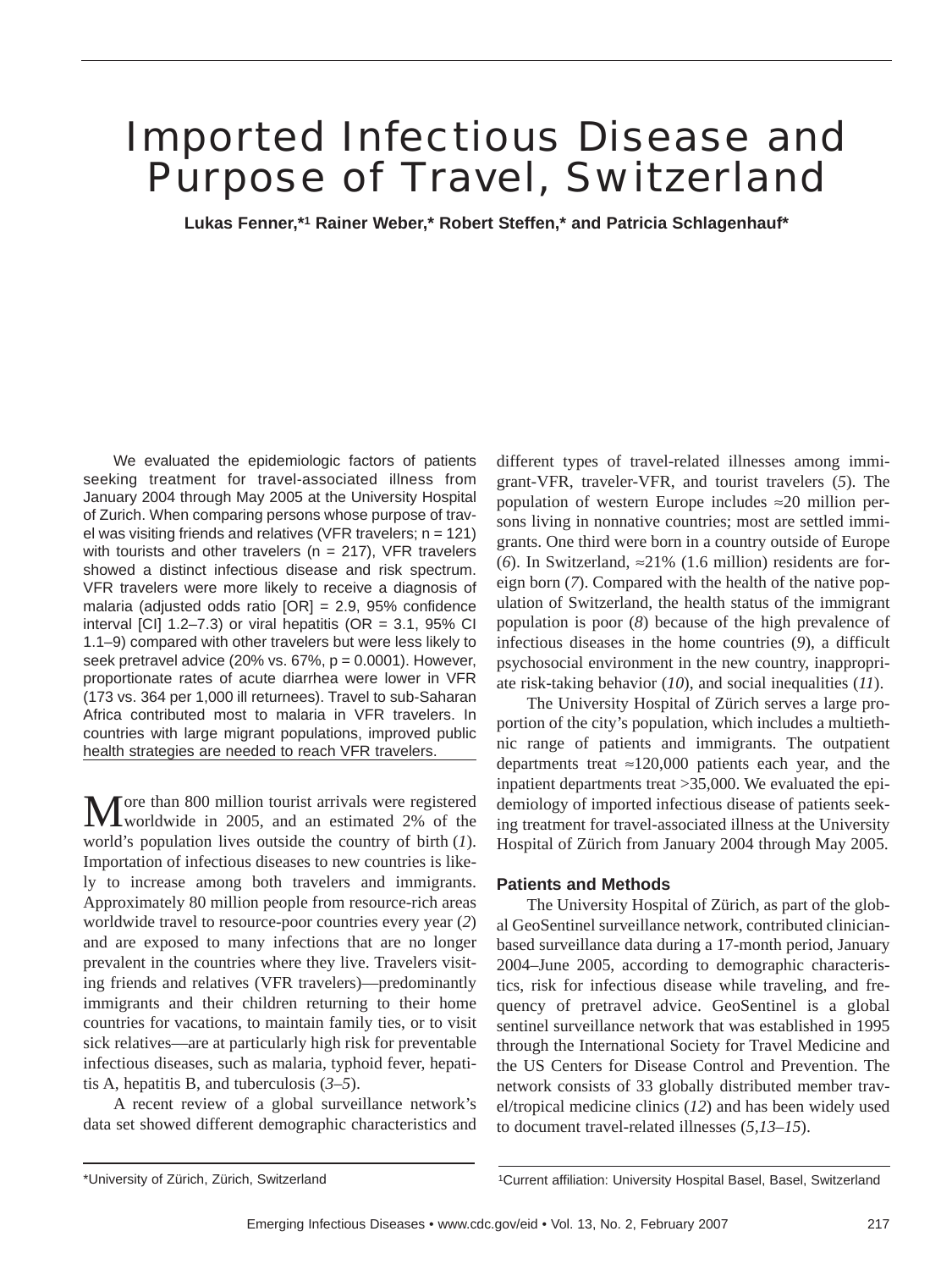# Imported Infectious Disease and Purpose of Travel, Switzerland

**Lukas Fenner,\*1 Rainer Weber,\* Robert Steffen,\* and Patricia Schlagenhauf\***

We evaluated the epidemiologic factors of patients seeking treatment for travel-associated illness from January 2004 through May 2005 at the University Hospital of Zurich. When comparing persons whose purpose of travel was visiting friends and relatives (VFR travelers;  $n = 121$ ) with tourists and other travelers ( $n = 217$ ), VFR travelers showed a distinct infectious disease and risk spectrum. VFR travelers were more likely to receive a diagnosis of malaria (adjusted odds ratio [OR] = 2.9, 95% confidence interval [CI] 1.2–7.3) or viral hepatitis (OR = 3.1, 95% CI 1.1–9) compared with other travelers but were less likely to seek pretravel advice (20% vs.  $67\%$ ,  $p = 0.0001$ ). However, proportionate rates of acute diarrhea were lower in VFR (173 vs. 364 per 1,000 ill returnees). Travel to sub-Saharan Africa contributed most to malaria in VFR travelers. In countries with large migrant populations, improved public health strategies are needed to reach VFR travelers.

More than 800 million tourist arrivals were registered worldwide in 2005, and an estimated 2% of the world's population lives outside the country of birth (*1*). Importation of infectious diseases to new countries is likely to increase among both travelers and immigrants. Approximately 80 million people from resource-rich areas worldwide travel to resource-poor countries every year (*2*) and are exposed to many infections that are no longer prevalent in the countries where they live. Travelers visiting friends and relatives (VFR travelers)—predominantly immigrants and their children returning to their home countries for vacations, to maintain family ties, or to visit sick relatives—are at particularly high risk for preventable infectious diseases, such as malaria, typhoid fever, hepatitis A, hepatitis B, and tuberculosis (*3–5*).

A recent review of a global surveillance network's data set showed different demographic characteristics and different types of travel-related illnesses among immigrant-VFR, traveler-VFR, and tourist travelers (*5*). The population of western Europe includes ≈20 million persons living in nonnative countries; most are settled immigrants. One third were born in a country outside of Europe (6). In Switzerland,  $\approx$ 21% (1.6 million) residents are foreign born (*7*). Compared with the health of the native population of Switzerland, the health status of the immigrant population is poor (*8*) because of the high prevalence of infectious diseases in the home countries (*9*), a difficult psychosocial environment in the new country, inappropriate risk-taking behavior (*10*), and social inequalities (*11*).

The University Hospital of Zürich serves a large proportion of the city's population, which includes a multiethnic range of patients and immigrants. The outpatient departments treat  $\approx$ 120,000 patients each year, and the inpatient departments treat >35,000. We evaluated the epidemiology of imported infectious disease of patients seeking treatment for travel-associated illness at the University Hospital of Zürich from January 2004 through May 2005.

# **Patients and Methods**

The University Hospital of Zürich, as part of the global GeoSentinel surveillance network, contributed clinicianbased surveillance data during a 17-month period, January 2004–June 2005, according to demographic characteristics, risk for infectious disease while traveling, and frequency of pretravel advice. GeoSentinel is a global sentinel surveillance network that was established in 1995 through the International Society for Travel Medicine and the US Centers for Disease Control and Prevention. The network consists of 33 globally distributed member travel/tropical medicine clinics (*12*) and has been widely used to document travel-related illnesses (*5,13–15*).

<sup>\*</sup>University of Zürich, Zürich, Switzerland 1Current affiliation: University Hospital Basel, Basel, Switzerland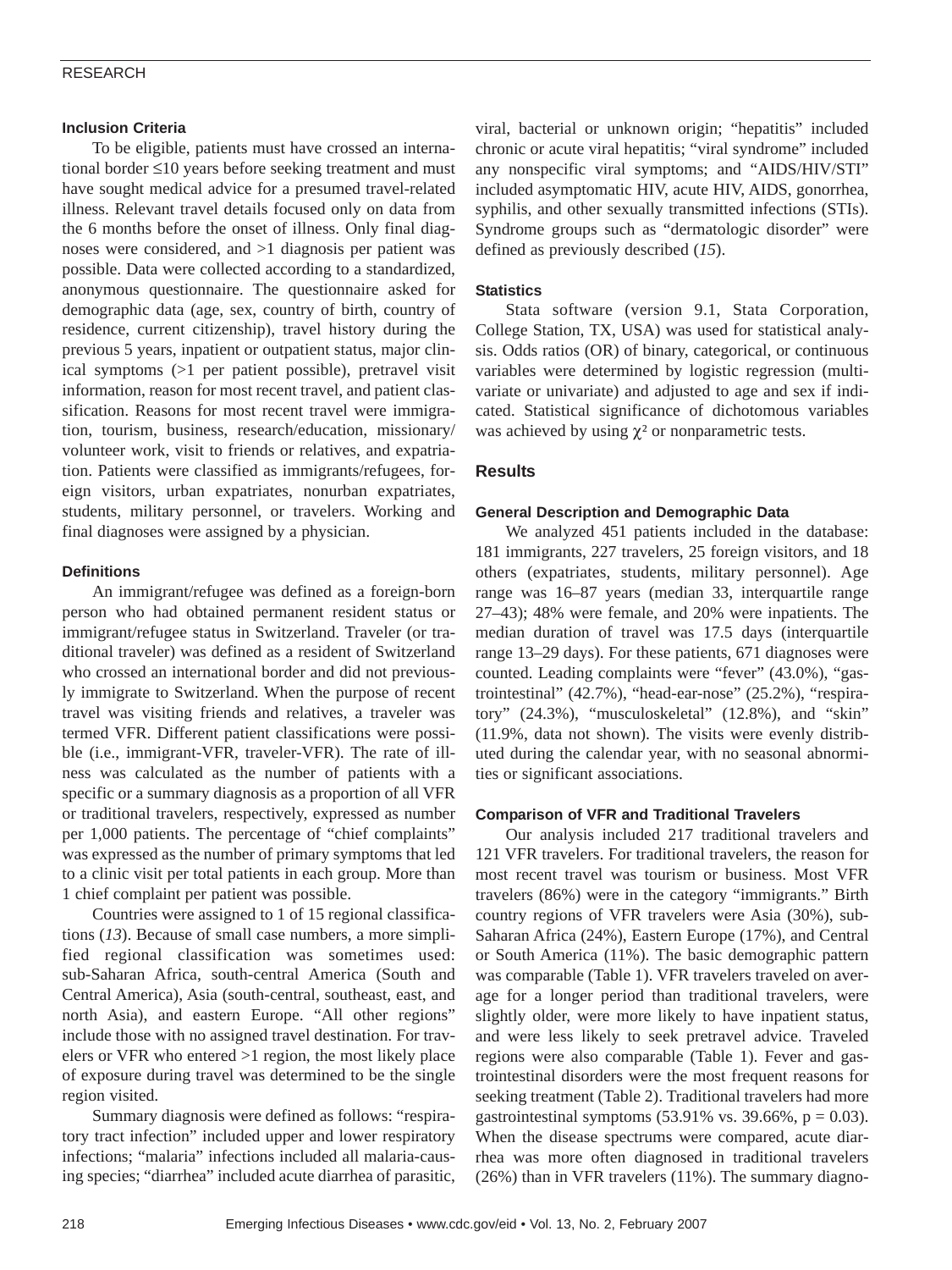# RESEARCH

### **Inclusion Criteria**

To be eligible, patients must have crossed an international border ≤10 years before seeking treatment and must have sought medical advice for a presumed travel-related illness. Relevant travel details focused only on data from the 6 months before the onset of illness. Only final diagnoses were considered, and >1 diagnosis per patient was possible. Data were collected according to a standardized, anonymous questionnaire. The questionnaire asked for demographic data (age, sex, country of birth, country of residence, current citizenship), travel history during the previous 5 years, inpatient or outpatient status, major clinical symptoms (>1 per patient possible), pretravel visit information, reason for most recent travel, and patient classification. Reasons for most recent travel were immigration, tourism, business, research/education, missionary/ volunteer work, visit to friends or relatives, and expatriation. Patients were classified as immigrants/refugees, foreign visitors, urban expatriates, nonurban expatriates, students, military personnel, or travelers. Working and final diagnoses were assigned by a physician.

# **Definitions**

An immigrant/refugee was defined as a foreign-born person who had obtained permanent resident status or immigrant/refugee status in Switzerland. Traveler (or traditional traveler) was defined as a resident of Switzerland who crossed an international border and did not previously immigrate to Switzerland. When the purpose of recent travel was visiting friends and relatives, a traveler was termed VFR. Different patient classifications were possible (i.e., immigrant-VFR, traveler-VFR). The rate of illness was calculated as the number of patients with a specific or a summary diagnosis as a proportion of all VFR or traditional travelers, respectively, expressed as number per 1,000 patients. The percentage of "chief complaints" was expressed as the number of primary symptoms that led to a clinic visit per total patients in each group. More than 1 chief complaint per patient was possible.

Countries were assigned to 1 of 15 regional classifications (*13*). Because of small case numbers, a more simplified regional classification was sometimes used: sub-Saharan Africa, south-central America (South and Central America), Asia (south-central, southeast, east, and north Asia), and eastern Europe. "All other regions" include those with no assigned travel destination. For travelers or VFR who entered >1 region, the most likely place of exposure during travel was determined to be the single region visited.

Summary diagnosis were defined as follows: "respiratory tract infection" included upper and lower respiratory infections; "malaria" infections included all malaria-causing species; "diarrhea" included acute diarrhea of parasitic, viral, bacterial or unknown origin; "hepatitis" included chronic or acute viral hepatitis; "viral syndrome" included any nonspecific viral symptoms; and "AIDS/HIV/STI" included asymptomatic HIV, acute HIV, AIDS, gonorrhea, syphilis, and other sexually transmitted infections (STIs). Syndrome groups such as "dermatologic disorder" were defined as previously described (*15*).

# **Statistics**

Stata software (version 9.1, Stata Corporation, College Station, TX, USA) was used for statistical analysis. Odds ratios (OR) of binary, categorical, or continuous variables were determined by logistic regression (multivariate or univariate) and adjusted to age and sex if indicated. Statistical significance of dichotomous variables was achieved by using  $\chi^2$  or nonparametric tests.

# **Results**

## **General Description and Demographic Data**

We analyzed 451 patients included in the database: 181 immigrants, 227 travelers, 25 foreign visitors, and 18 others (expatriates, students, military personnel). Age range was 16–87 years (median 33, interquartile range 27–43); 48% were female, and 20% were inpatients. The median duration of travel was 17.5 days (interquartile range 13–29 days). For these patients, 671 diagnoses were counted. Leading complaints were "fever" (43.0%), "gastrointestinal" (42.7%), "head-ear-nose" (25.2%), "respiratory" (24.3%), "musculoskeletal" (12.8%), and "skin" (11.9%, data not shown). The visits were evenly distributed during the calendar year, with no seasonal abnormities or significant associations.

#### **Comparison of VFR and Traditional Travelers**

Our analysis included 217 traditional travelers and 121 VFR travelers. For traditional travelers, the reason for most recent travel was tourism or business. Most VFR travelers (86%) were in the category "immigrants." Birth country regions of VFR travelers were Asia (30%), sub-Saharan Africa (24%), Eastern Europe (17%), and Central or South America (11%). The basic demographic pattern was comparable (Table 1). VFR travelers traveled on average for a longer period than traditional travelers, were slightly older, were more likely to have inpatient status, and were less likely to seek pretravel advice. Traveled regions were also comparable (Table 1). Fever and gastrointestinal disorders were the most frequent reasons for seeking treatment (Table 2). Traditional travelers had more gastrointestinal symptoms  $(53.91\% \text{ vs. } 39.66\%, \text{ p} = 0.03)$ . When the disease spectrums were compared, acute diarrhea was more often diagnosed in traditional travelers (26%) than in VFR travelers (11%). The summary diagno-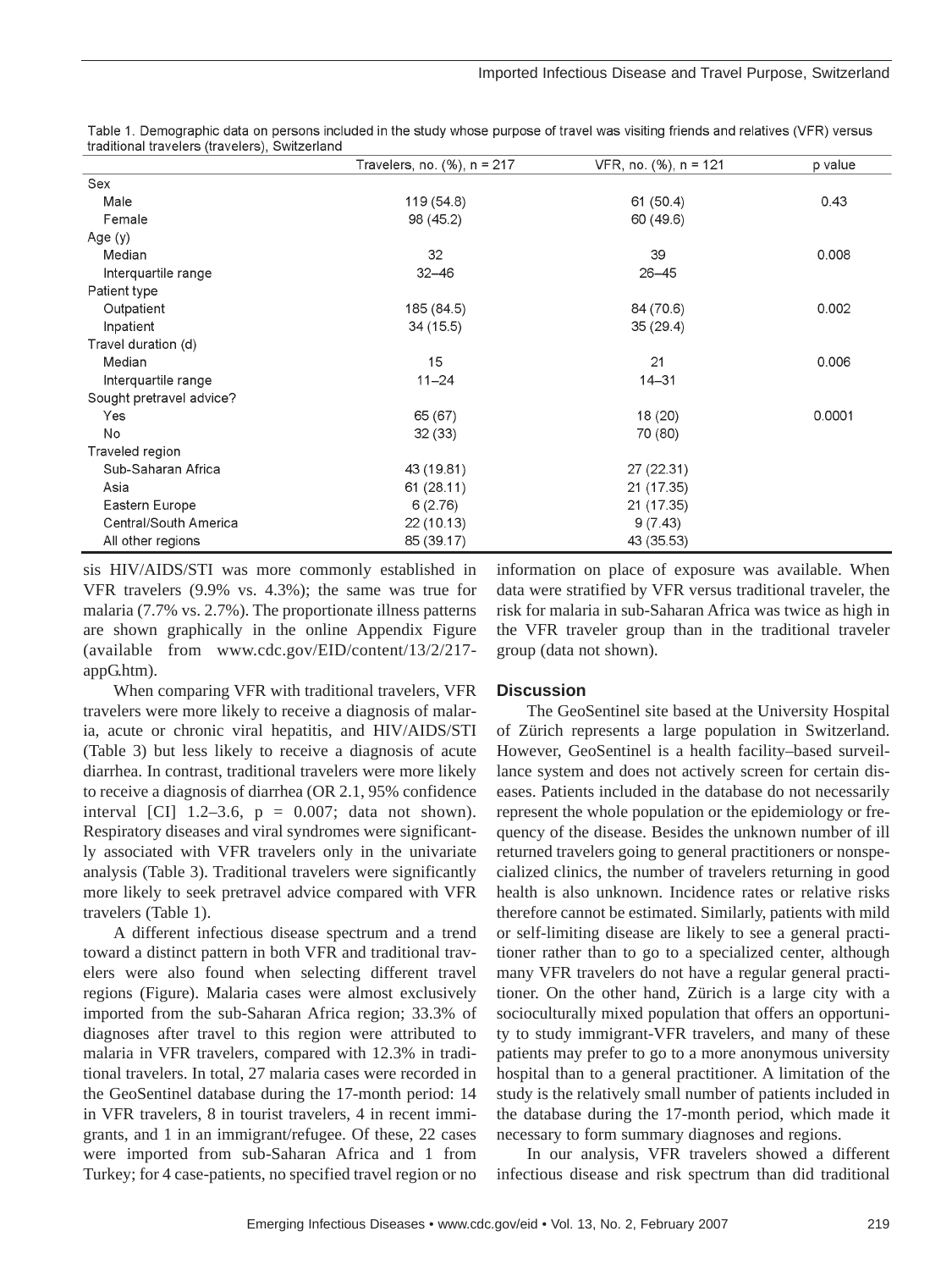|                          | Travelers, no. $(%)$ , n = 217 | $VFR$ , no. (%), n = 121 | p value |
|--------------------------|--------------------------------|--------------------------|---------|
| Sex                      |                                |                          |         |
| Male                     | 119 (54.8)                     | 61 (50.4)                | 0.43    |
| Female                   | 98 (45.2)                      | 60 (49.6)                |         |
| Age $(y)$                |                                |                          |         |
| Median                   | 32                             | 39                       | 0.008   |
| Interquartile range      | $32 - 46$                      | $26 - 45$                |         |
| Patient type             |                                |                          |         |
| Outpatient               | 185 (84.5)                     | 84 (70.6)                | 0.002   |
| Inpatient                | 34(15.5)                       | 35(29.4)                 |         |
| Travel duration (d)      |                                |                          |         |
| Median                   | 15                             | 21                       | 0.006   |
| Interquartile range      | $11 - 24$                      | $14 - 31$                |         |
| Sought pretravel advice? |                                |                          |         |
| Yes                      | 65 (67)                        | 18 (20)                  | 0.0001  |
| No                       | 32(33)                         | 70 (80)                  |         |
| Traveled region          |                                |                          |         |
| Sub-Saharan Africa       | 43 (19.81)                     | 27 (22.31)               |         |
| Asia                     | 61(28.11)                      | 21 (17.35)               |         |
| Eastern Europe           | 6(2.76)                        | 21 (17.35)               |         |
| Central/South America    | 22(10.13)                      | 9(7.43)                  |         |
| All other regions        | 85 (39.17)                     | 43 (35.53)               |         |

Table 1. Demographic data on persons included in the study whose purpose of travel was visiting friends and relatives (VFR) versus traditional travelers (travelers), Switzerland

sis HIV/AIDS/STI was more commonly established in VFR travelers (9.9% vs. 4.3%); the same was true for malaria (7.7% vs. 2.7%). The proportionate illness patterns are shown graphically in the online Appendix Figure (available from www.cdc.gov/EID/content/13/2/217 appG.htm).

When comparing VFR with traditional travelers, VFR travelers were more likely to receive a diagnosis of malaria, acute or chronic viral hepatitis, and HIV/AIDS/STI (Table 3) but less likely to receive a diagnosis of acute diarrhea. In contrast, traditional travelers were more likely to receive a diagnosis of diarrhea (OR 2.1, 95% confidence interval [CI] 1.2–3.6,  $p = 0.007$ ; data not shown). Respiratory diseases and viral syndromes were significantly associated with VFR travelers only in the univariate analysis (Table 3). Traditional travelers were significantly more likely to seek pretravel advice compared with VFR travelers (Table 1).

A different infectious disease spectrum and a trend toward a distinct pattern in both VFR and traditional travelers were also found when selecting different travel regions (Figure). Malaria cases were almost exclusively imported from the sub-Saharan Africa region; 33.3% of diagnoses after travel to this region were attributed to malaria in VFR travelers, compared with 12.3% in traditional travelers. In total, 27 malaria cases were recorded in the GeoSentinel database during the 17-month period: 14 in VFR travelers, 8 in tourist travelers, 4 in recent immigrants, and 1 in an immigrant/refugee. Of these, 22 cases were imported from sub-Saharan Africa and 1 from Turkey; for 4 case-patients, no specified travel region or no

information on place of exposure was available. When data were stratified by VFR versus traditional traveler, the risk for malaria in sub-Saharan Africa was twice as high in the VFR traveler group than in the traditional traveler group (data not shown).

# **Discussion**

The GeoSentinel site based at the University Hospital of Zürich represents a large population in Switzerland. However, GeoSentinel is a health facility–based surveillance system and does not actively screen for certain diseases. Patients included in the database do not necessarily represent the whole population or the epidemiology or frequency of the disease. Besides the unknown number of ill returned travelers going to general practitioners or nonspecialized clinics, the number of travelers returning in good health is also unknown. Incidence rates or relative risks therefore cannot be estimated. Similarly, patients with mild or self-limiting disease are likely to see a general practitioner rather than to go to a specialized center, although many VFR travelers do not have a regular general practitioner. On the other hand, Zürich is a large city with a socioculturally mixed population that offers an opportunity to study immigrant-VFR travelers, and many of these patients may prefer to go to a more anonymous university hospital than to a general practitioner. A limitation of the study is the relatively small number of patients included in the database during the 17-month period, which made it necessary to form summary diagnoses and regions.

In our analysis, VFR travelers showed a different infectious disease and risk spectrum than did traditional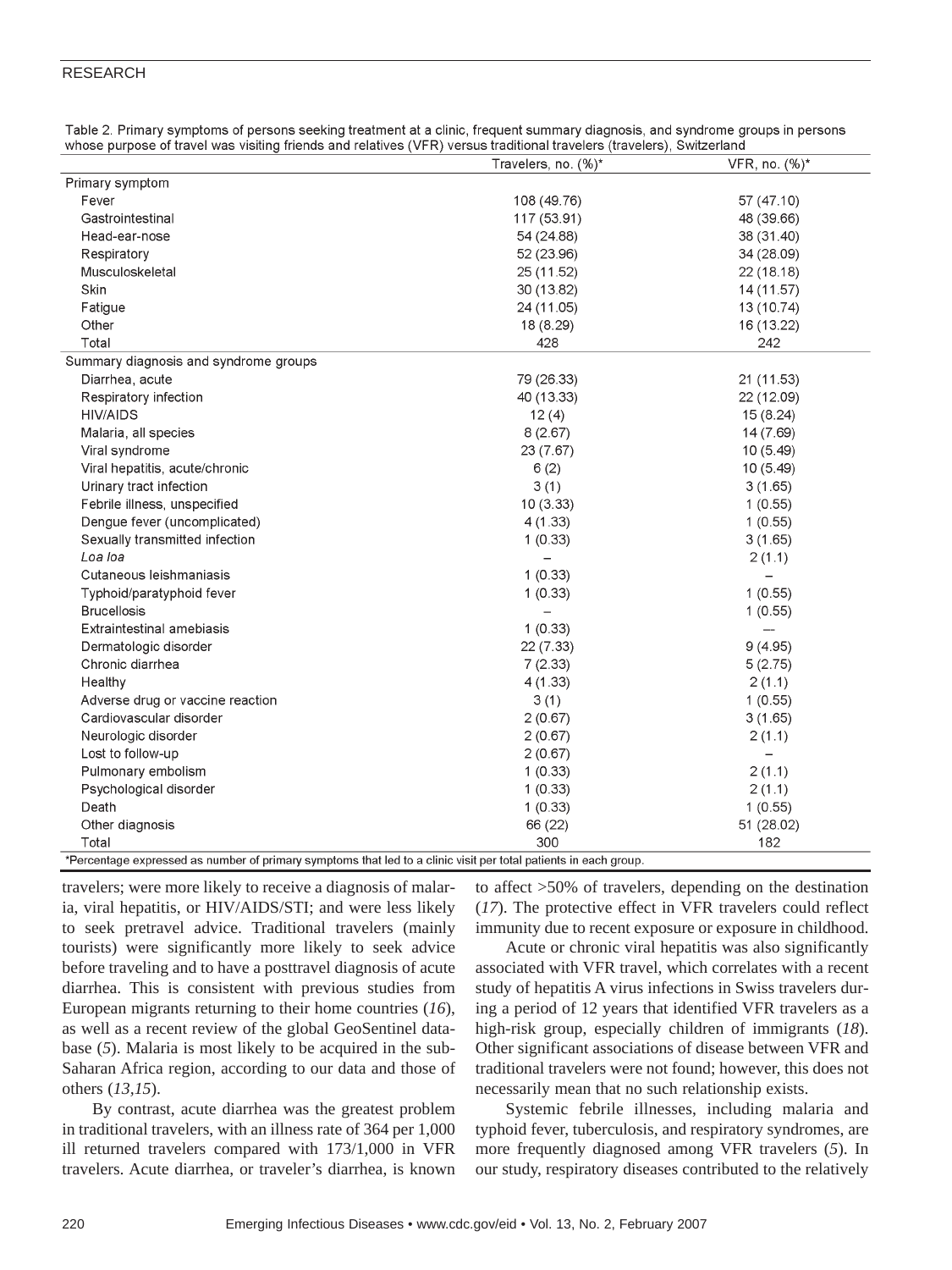### RESEARCH

|                                       | Travelers, no. (%)* | VFR, no. (%)* |
|---------------------------------------|---------------------|---------------|
| Primary symptom                       |                     |               |
| Fever                                 | 108 (49.76)         | 57 (47.10)    |
| Gastrointestinal                      | 117 (53.91)         | 48 (39.66)    |
| Head-ear-nose                         | 54 (24.88)          | 38 (31.40)    |
| Respiratory                           | 52 (23.96)          | 34 (28.09)    |
| Musculoskeletal                       | 25 (11.52)          | 22(18.18)     |
| Skin                                  | 30 (13.82)          | 14 (11.57)    |
| Fatigue                               | 24 (11.05)          | 13 (10.74)    |
| Other                                 | 18 (8.29)           | 16 (13.22)    |
| Total                                 | 428                 | 242           |
| Summary diagnosis and syndrome groups |                     |               |
| Diarrhea, acute                       | 79 (26.33)          | 21 (11.53)    |
| Respiratory infection                 | 40 (13.33)          | 22 (12.09)    |
| <b>HIV/AIDS</b>                       | 12(4)               | 15 (8.24)     |
| Malaria, all species                  | 8(2.67)             | 14 (7.69)     |
| Viral syndrome                        | 23 (7.67)           | 10(5.49)      |
| Viral hepatitis, acute/chronic        | 6(2)                | 10 (5.49)     |
| Urinary tract infection               | 3(1)                | 3(1.65)       |
| Febrile illness, unspecified          | 10(3.33)            | 1(0.55)       |
| Dengue fever (uncomplicated)          | 4(1.33)             | 1(0.55)       |
| Sexually transmitted infection        | 1(0.33)             | 3(1.65)       |
| Loa loa                               |                     | 2(1.1)        |
| Cutaneous leishmaniasis               | 1(0.33)             |               |
| Typhoid/paratyphoid fever             | 1(0.33)             | 1(0.55)       |
| <b>Brucellosis</b>                    |                     | 1(0.55)       |
| <b>Extraintestinal amebiasis</b>      | 1(0.33)             |               |
| Dermatologic disorder                 | 22 (7.33)           | 9(4.95)       |
| Chronic diarrhea                      | 7(2.33)             | 5(2.75)       |
| Healthy                               | 4(1.33)             | 2(1.1)        |
| Adverse drug or vaccine reaction      | 3(1)                | 1(0.55)       |
| Cardiovascular disorder               | 2(0.67)             | 3(1.65)       |
| Neurologic disorder                   | 2(0.67)             | 2(1.1)        |
| Lost to follow-up                     | 2(0.67)             |               |
| Pulmonary embolism                    | 1(0.33)             | 2(1.1)        |
| Psychological disorder                | 1(0.33)             | 2(1.1)        |
| Death                                 | 1(0.33)             | 1(0.55)       |
| Other diagnosis                       | 66 (22)             | 51 (28.02)    |
| Total                                 | 300                 | 182           |

|  |  |  | Table 2. Primary symptoms of persons seeking treatment at a clinic, frequent summary diagnosis, and syndrome groups in persons |  |  |  |
|--|--|--|--------------------------------------------------------------------------------------------------------------------------------|--|--|--|
|  |  |  | whose purpose of travel was visiting friends and relatives (VFR) versus traditional travelers (travelers). Switzerland         |  |  |  |

\*Percentage expressed as number of primary symptoms that led to a clinic visit per total patients in each group.

travelers; were more likely to receive a diagnosis of malaria, viral hepatitis, or HIV/AIDS/STI; and were less likely to seek pretravel advice. Traditional travelers (mainly tourists) were significantly more likely to seek advice before traveling and to have a posttravel diagnosis of acute diarrhea. This is consistent with previous studies from European migrants returning to their home countries (*16*), as well as a recent review of the global GeoSentinel database (*5*). Malaria is most likely to be acquired in the sub-Saharan Africa region, according to our data and those of others (*13,15*).

By contrast, acute diarrhea was the greatest problem in traditional travelers, with an illness rate of 364 per 1,000 ill returned travelers compared with 173/1,000 in VFR travelers. Acute diarrhea, or traveler's diarrhea, is known

to affect >50% of travelers, depending on the destination (*17*). The protective effect in VFR travelers could reflect immunity due to recent exposure or exposure in childhood.

Acute or chronic viral hepatitis was also significantly associated with VFR travel, which correlates with a recent study of hepatitis A virus infections in Swiss travelers during a period of 12 years that identified VFR travelers as a high-risk group, especially children of immigrants (*18*). Other significant associations of disease between VFR and traditional travelers were not found; however, this does not necessarily mean that no such relationship exists.

Systemic febrile illnesses, including malaria and typhoid fever, tuberculosis, and respiratory syndromes, are more frequently diagnosed among VFR travelers (*5*). In our study, respiratory diseases contributed to the relatively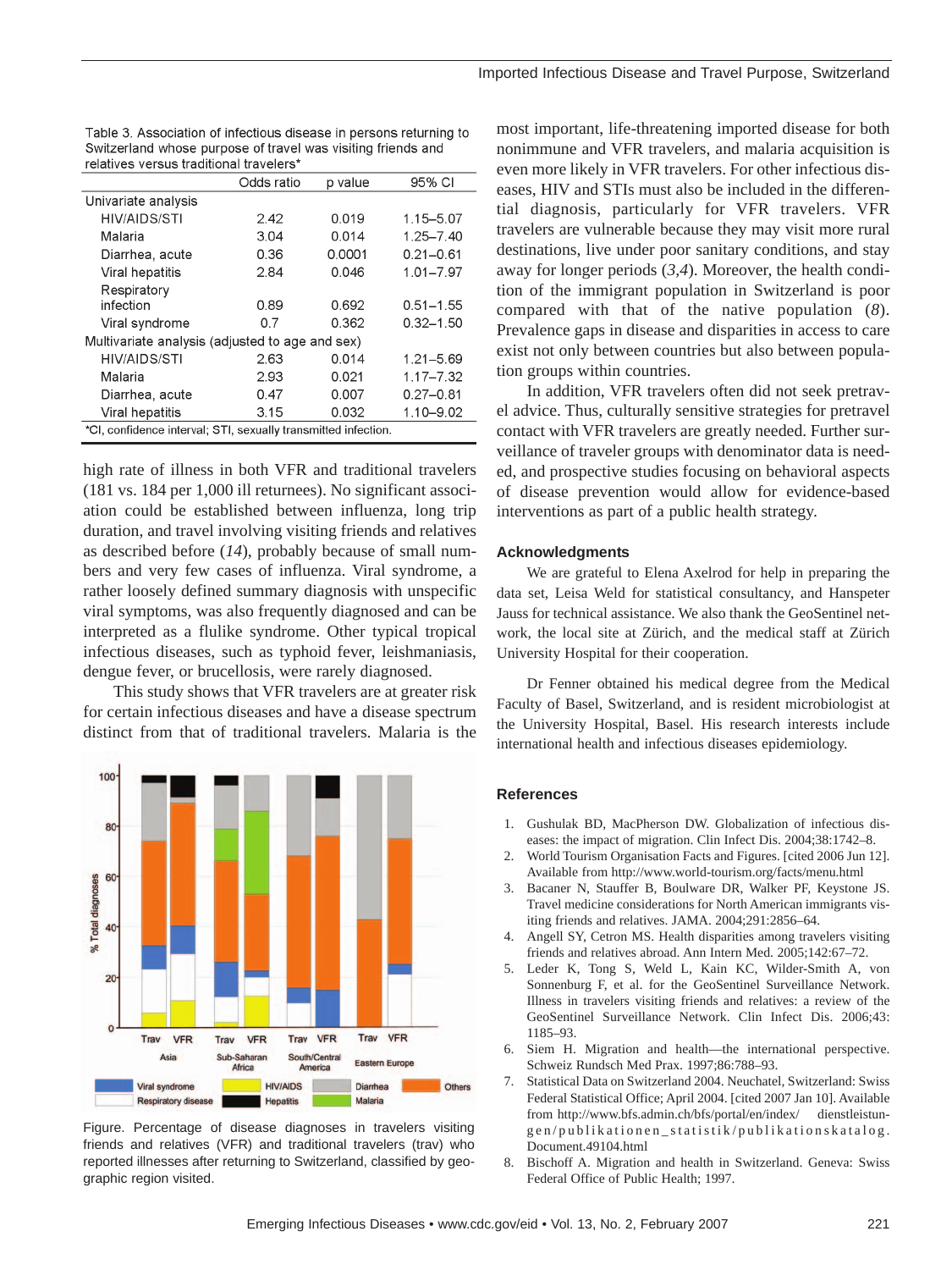|                                                                | Odds ratio | p value | 95% CI        |  |  |
|----------------------------------------------------------------|------------|---------|---------------|--|--|
| Univariate analysis                                            |            |         |               |  |  |
| HIV/AIDS/STI                                                   | 2.42       | 0.019   | 1.15-5.07     |  |  |
| Malaria                                                        | 3.04       | 0.014   | $1.25 - 7.40$ |  |  |
| Diarrhea, acute                                                | 0.36       | 0.0001  | $0.21 - 0.61$ |  |  |
| Viral hepatitis                                                | 2.84       | 0.046   | $1.01 - 7.97$ |  |  |
| Respiratory                                                    |            |         |               |  |  |
| infection                                                      | 0.89       | 0.692   | $0.51 - 1.55$ |  |  |
| Viral syndrome                                                 | 0.7        | 0.362   | $0.32 - 1.50$ |  |  |
| Multivariate analysis (adjusted to age and sex)                |            |         |               |  |  |
| HIV/AIDS/STI                                                   | 2.63       | 0.014   | $1.21 - 5.69$ |  |  |
| Malaria                                                        | 2.93       | 0.021   | $1.17 - 7.32$ |  |  |
| Diarrhea, acute                                                | 0.47       | 0.007   | $0.27 - 0.81$ |  |  |
| Viral hepatitis                                                | 3.15       | 0.032   | 1.10-9.02     |  |  |
| *CI, confidence interval; STI, sexually transmitted infection. |            |         |               |  |  |

| Table 3. Association of infectious disease in persons returning to |
|--------------------------------------------------------------------|
| Switzerland whose purpose of travel was visiting friends and       |
| relatives versus traditional travelers*                            |

high rate of illness in both VFR and traditional travelers (181 vs. 184 per 1,000 ill returnees). No significant association could be established between influenza, long trip duration, and travel involving visiting friends and relatives as described before (*14*), probably because of small numbers and very few cases of influenza. Viral syndrome, a rather loosely defined summary diagnosis with unspecific viral symptoms, was also frequently diagnosed and can be interpreted as a flulike syndrome. Other typical tropical infectious diseases, such as typhoid fever, leishmaniasis, dengue fever, or brucellosis, were rarely diagnosed.

This study shows that VFR travelers are at greater risk for certain infectious diseases and have a disease spectrum distinct from that of traditional travelers. Malaria is the



Figure. Percentage of disease diagnoses in travelers visiting friends and relatives (VFR) and traditional travelers (trav) who reported illnesses after returning to Switzerland, classified by geographic region visited.

most important, life-threatening imported disease for both nonimmune and VFR travelers, and malaria acquisition is even more likely in VFR travelers. For other infectious diseases, HIV and STIs must also be included in the differential diagnosis, particularly for VFR travelers. VFR travelers are vulnerable because they may visit more rural destinations, live under poor sanitary conditions, and stay away for longer periods (*3,4*). Moreover, the health condition of the immigrant population in Switzerland is poor compared with that of the native population (*8*). Prevalence gaps in disease and disparities in access to care exist not only between countries but also between population groups within countries.

In addition, VFR travelers often did not seek pretravel advice. Thus, culturally sensitive strategies for pretravel contact with VFR travelers are greatly needed. Further surveillance of traveler groups with denominator data is needed, and prospective studies focusing on behavioral aspects of disease prevention would allow for evidence-based interventions as part of a public health strategy.

#### **Acknowledgments**

We are grateful to Elena Axelrod for help in preparing the data set, Leisa Weld for statistical consultancy, and Hanspeter Jauss for technical assistance. We also thank the GeoSentinel network, the local site at Zürich, and the medical staff at Zürich University Hospital for their cooperation.

Dr Fenner obtained his medical degree from the Medical Faculty of Basel, Switzerland, and is resident microbiologist at the University Hospital, Basel. His research interests include international health and infectious diseases epidemiology.

#### **References**

- 1. Gushulak BD, MacPherson DW. Globalization of infectious diseases: the impact of migration. Clin Infect Dis. 2004;38:1742–8.
- 2. World Tourism Organisation Facts and Figures. [cited 2006 Jun 12]. Available from http://www.world-tourism.org/facts/menu.html
- 3. Bacaner N, Stauffer B, Boulware DR, Walker PF, Keystone JS. Travel medicine considerations for North American immigrants visiting friends and relatives. JAMA. 2004;291:2856–64.
- 4. Angell SY, Cetron MS. Health disparities among travelers visiting friends and relatives abroad. Ann Intern Med. 2005;142:67–72.
- 5. Leder K, Tong S, Weld L, Kain KC, Wilder-Smith A, von Sonnenburg F, et al. for the GeoSentinel Surveillance Network. Illness in travelers visiting friends and relatives: a review of the GeoSentinel Surveillance Network. Clin Infect Dis. 2006;43: 1185–93.
- 6. Siem H. Migration and health—the international perspective. Schweiz Rundsch Med Prax. 1997;86:788–93.
- 7. Statistical Data on Switzerland 2004. Neuchatel, Switzerland: Swiss Federal Statistical Office; April 2004. [cited 2007 Jan 10]. Available from http://www.bfs.admin.ch/bfs/portal/en/index/ dienstleistungen/publikationen\_statistik/publikationskatalog. Document.49104.html
- 8. Bischoff A. Migration and health in Switzerland. Geneva: Swiss Federal Office of Public Health; 1997.